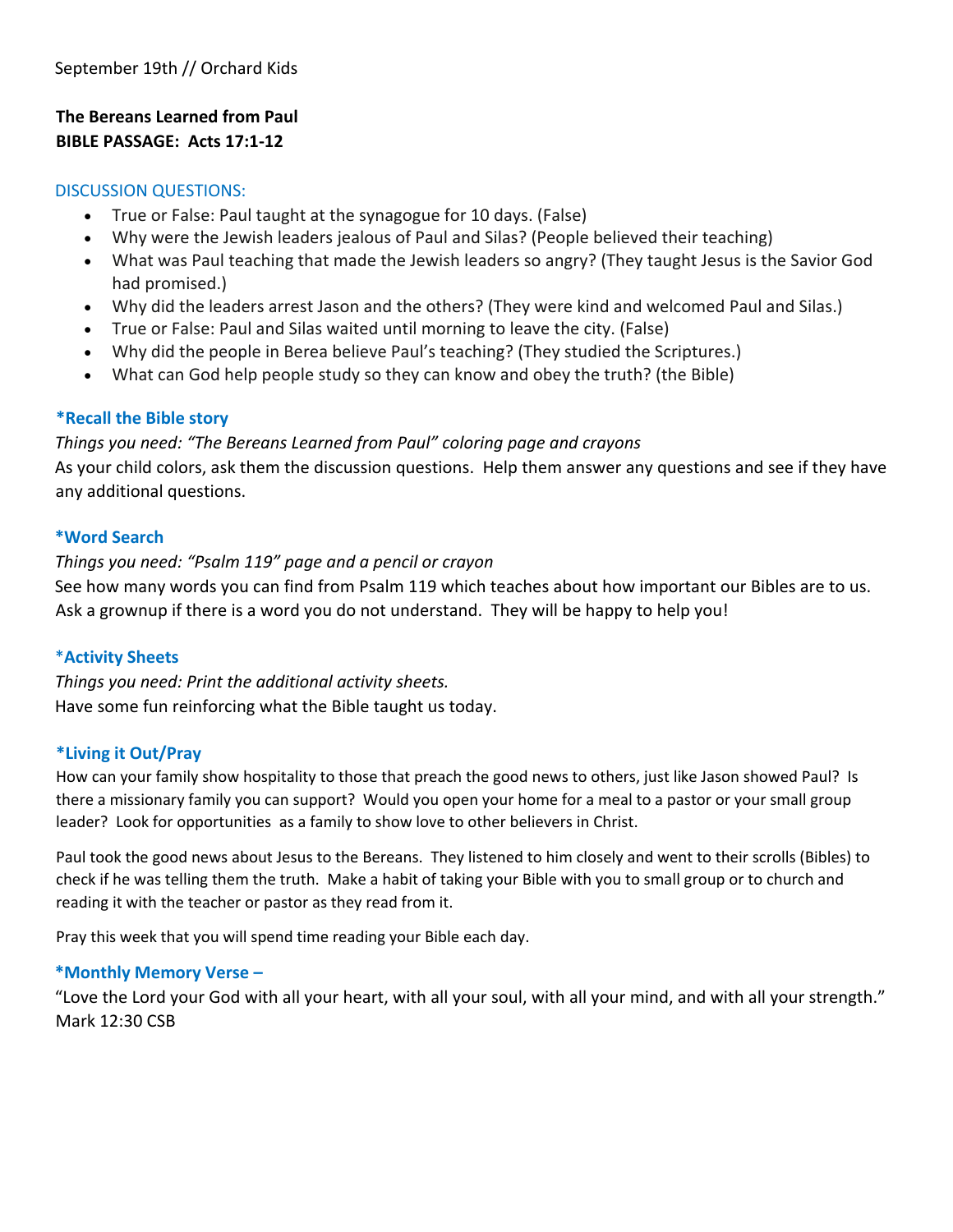## **The Bereans Learned from Paul BIBLE PASSAGE: Acts 17:1-12**

## DISCUSSION QUESTIONS:

- True or False: Paul taught at the synagogue for 10 days. (False)
- Why were the Jewish leaders jealous of Paul and Silas? (People believed their teaching)
- What was Paul teaching that made the Jewish leaders so angry? (They taught Jesus is the Savior God had promised.)
- Why did the leaders arrest Jason and the others? (They were kind and welcomed Paul and Silas.)
- True or False: Paul and Silas waited until morning to leave the city. (False)
- Why did the people in Berea believe Paul's teaching? (They studied the Scriptures.)
- What can God help people study so they can know and obey the truth? (the Bible)

## **\*Recall the Bible story**

*Things you need: "The Bereans Learned from Paul" coloring page and crayons* 

As your child colors, ask them the discussion questions. Help them answer any questions and see if they have any additional questions.

## **\*Word Search**

#### *Things you need: "Psalm 119" page and a pencil or crayon*

See how many words you can find from Psalm 119 which teaches about how important our Bibles are to us. Ask a grownup if there is a word you do not understand. They will be happy to help you!

## \***Activity Sheets**

*Things you need: Print the additional activity sheets.*  Have some fun reinforcing what the Bible taught us today.

## **\*Living it Out/Pray**

How can your family show hospitality to those that preach the good news to others, just like Jason showed Paul? Is there a missionary family you can support? Would you open your home for a meal to a pastor or your small group leader? Look for opportunities as a family to show love to other believers in Christ.

Paul took the good news about Jesus to the Bereans. They listened to him closely and went to their scrolls (Bibles) to check if he was telling them the truth. Make a habit of taking your Bible with you to small group or to church and reading it with the teacher or pastor as they read from it.

Pray this week that you will spend time reading your Bible each day.

## **\*Monthly Memory Verse –**

"Love the Lord your God with all your heart, with all your soul, with all your mind, and with all your strength." Mark 12:30 CSB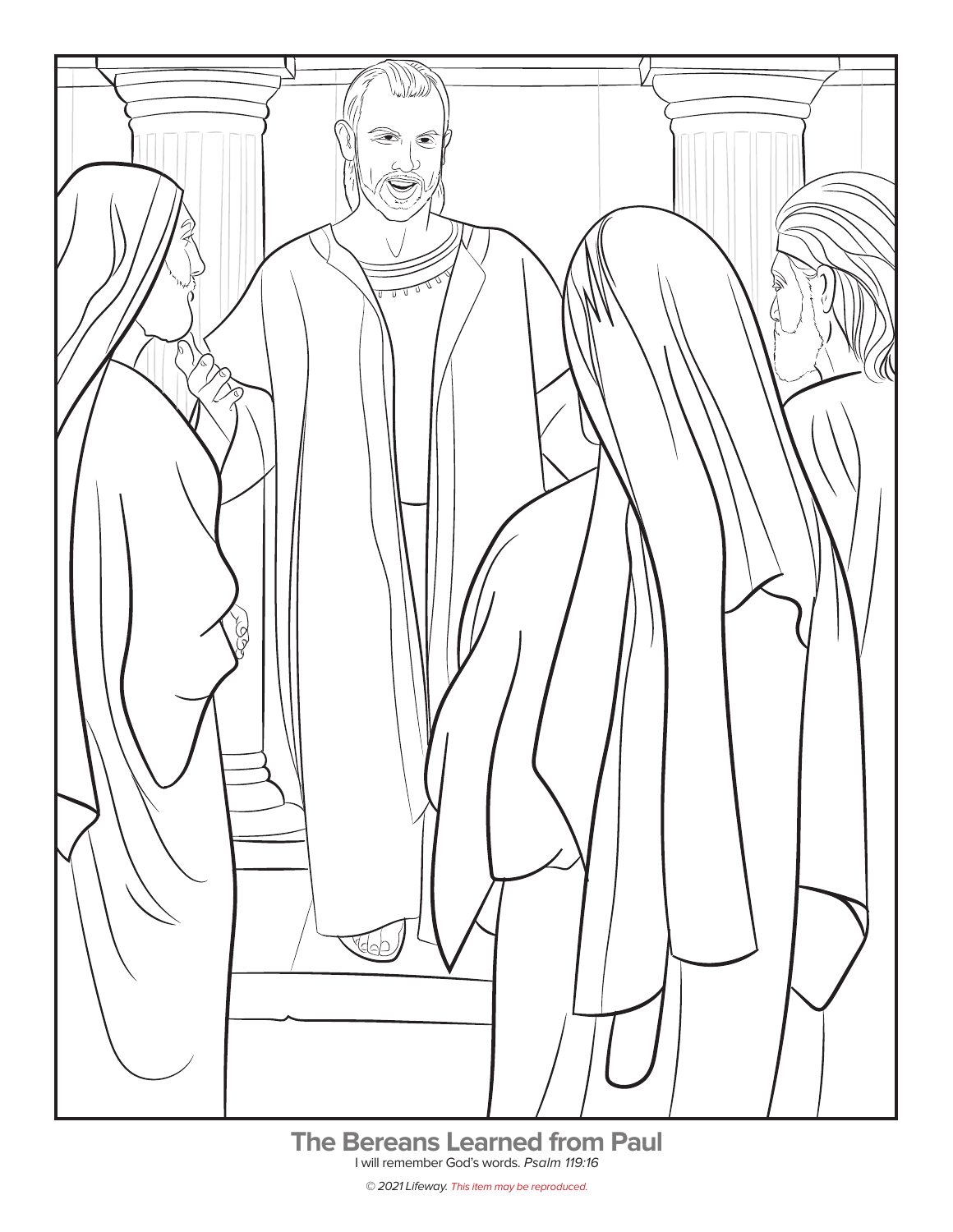

## **The Bereans Learned from Paul** I will remember God's words. Psalm 119:16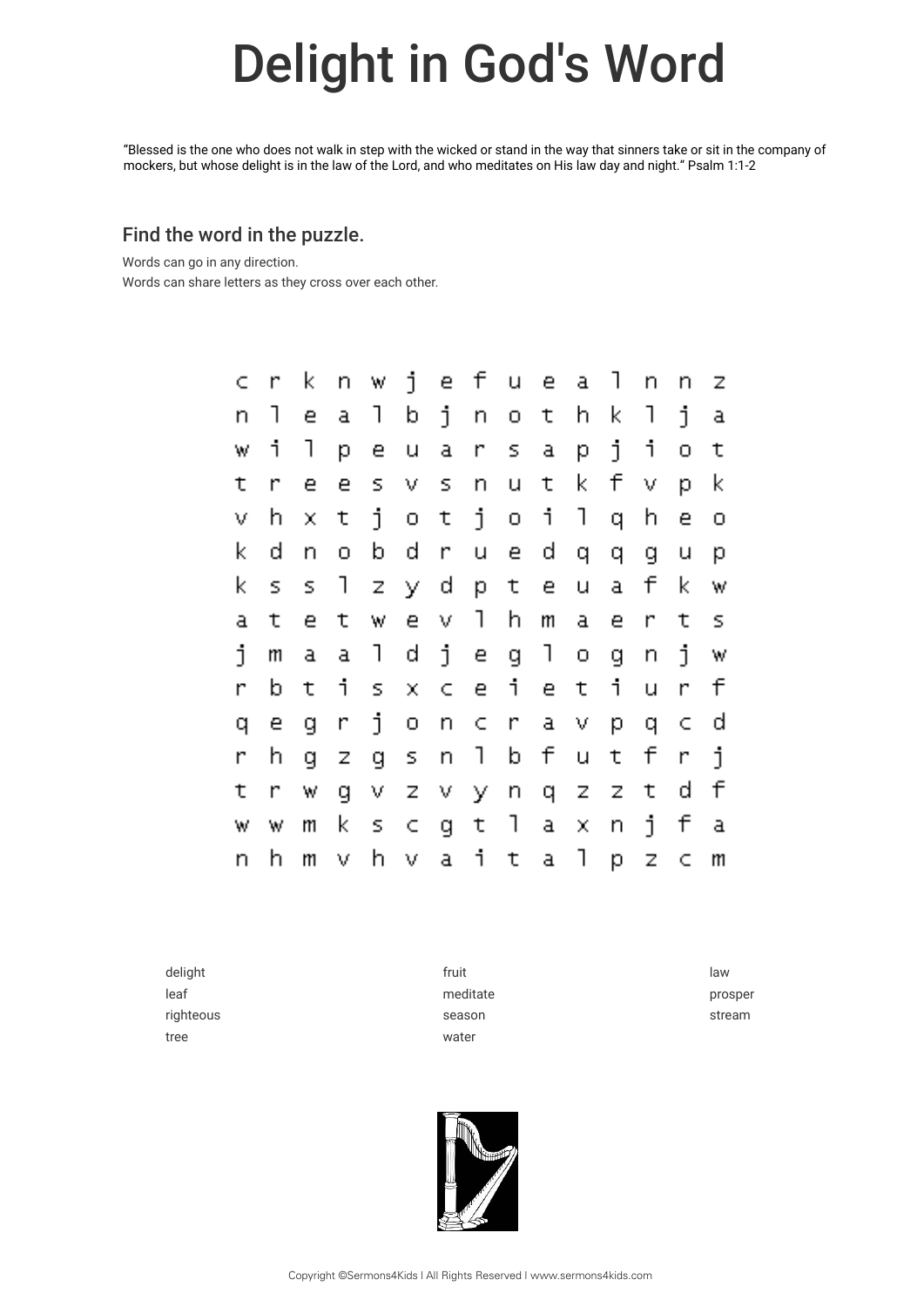# [Deligh](https://puzzlemaker.discoveryeducation.com/)t in God's Word

## Find the word in the puzzle.

Words can go in any direction. Words can share letters as they cross over each other.

|                         |                | k                       | n                       | W                       | i              | e                       | f            | $\sqcup$       | e                        | $\overline{\mathbf{a}}$ |                | $\overline{\mathsf{L}}$ | n            | $\mathbb{Z}$            |
|-------------------------|----------------|-------------------------|-------------------------|-------------------------|----------------|-------------------------|--------------|----------------|--------------------------|-------------------------|----------------|-------------------------|--------------|-------------------------|
| $\overline{\Pi}$        |                | e                       | $\overline{\mathbf{a}}$ | 1                       | b              | $\mathbf i$             | $\mathsf{L}$ | $\Box$         | t                        | h                       | k              | ٦                       | i            | a                       |
| W                       | า๋             | ヿ                       | р                       | е                       | $\sqcup$       | $\overline{\mathbf{a}}$ | $\mathsf{r}$ | S              | $\overline{\mathbf{a}}$  | $\mathsf{p}$            | j              | $\mathbf i$             | $\Box$       | t                       |
| τ                       | $\mathsf{r}$   | e                       | e                       | $\overline{S}$          | V              | S.                      | $\mathsf{L}$ | $\sqcup$       | $\mathsf T$              | k.                      | f              | V                       | p            | $\mathsf k$             |
| V                       | h              | X                       | t                       | j                       | $\hbox{\bf C}$ | t                       | j            | $\Box$         | $\mathbf i$              | $\mathbb{I}$            | $\mathbf{q}$   | h                       | e            | О                       |
| k                       | d              | $\mathsf{L}$            | $\Box$                  | b                       | $\mathbf{q}$   | r                       | $\sqcup$     | $\mathbf{e}$   | $\mathbf d$              | q                       | q              | $\mathbf 9$             | U            | р                       |
| k                       | $\overline{S}$ | $\mathbb S$             | 1                       | $\overline{z}$          | y              | d                       | p            | t              | $\mathbf{e}$             | $\cup$                  | a              | f                       | k,           | W                       |
| $\overline{\mathbf{a}}$ | t              | e                       | t                       | W                       | $\epsilon$     | V                       | $\mathbb{I}$ | h              | m                        | a                       | e              | $\mathsf{r}$            | t            | S.                      |
| $\mathsf{\dot{1}}$      | $\mathsf{m}$   | $\overline{\mathbf{d}}$ | a                       | 1                       | d              | j                       | e            | $\overline{Q}$ | $\overline{\phantom{a}}$ | $\Box$                  | $\overline{q}$ | $\overline{\mathsf{n}}$ | i,           | W                       |
| $\mathsf{r}$            | b              | $\mathsf t$             | i                       | $\overline{\mathbb{S}}$ | $\mathsf X$    | $\subset$               | $\epsilon$   | $\mathbf{1}$   | e                        | $\mathsf T$             | $\mathbf{1}$   | $\Box$                  | $\mathsf{r}$ | f                       |
| q                       | e              | $\overline{9}$          | $\mathsf{r}$            | j                       | $\Box$         | $\mathsf{L}$            | $\subset$    | r              | a                        | V                       | p              | $\Box$                  | $\subset$    | d                       |
| $\mathsf{r}$            | h              | $\overline{q}$          | Z                       | $\overline{q}$          | $\mathbb S$    | $\mathsf{L}$            | $\mathbb{I}$ | b              | f                        | $\sqcup$                | t              | f                       | $\mathsf{r}$ | j                       |
| τ                       | $\mathsf{r}$   | W                       | $\overline{9}$          | V                       | $\overline{z}$ | V                       | У            | $\mathsf{L}$   | $\Box$                   | $\mathbb{Z}$            | $\mathsf Z$    | t                       | d            | f                       |
| W                       | W              | m                       | k                       | $\mathbb S$             | $\subset$      | q                       | t            | $\mathbb{I}$   | $\mathbf{a}$             | $\mathbf x$             | $\mathsf{r}$   | j                       | f            | $\overline{\mathbf{d}}$ |
| n                       | h              | m                       | V                       | h                       | V              | a                       | i            | $\mathsf t$    | $\mathbf{a}$             | $\overline{\mathbb{I}}$ | p              | Z                       | $\subset$    | m                       |

| leaf      | meditate | prosper |
|-----------|----------|---------|
| righteous | season   | stream  |
| tree      | water    |         |



"Blessed is the one who does not walk in step with the wicked or stand in the way that sinners take or sit in the company of mockers, but whose delight is in the law of the Lord, and who meditates on His law day and night." Psalm 1:1-2

Copyright ©Sermons4Kids | All Rights Reserved | www.sermons4kids.com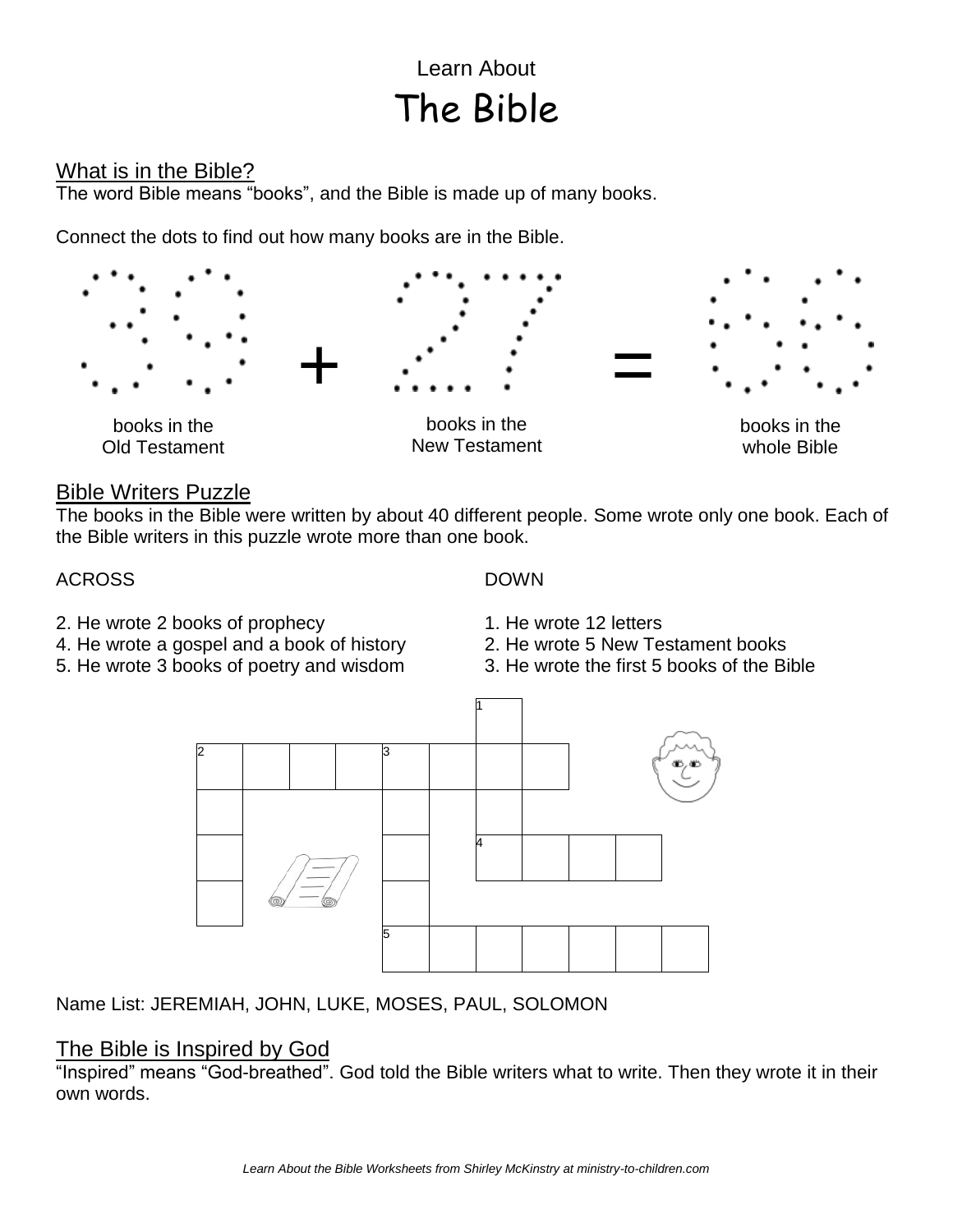# Learn About The Bible

## What is in the Bible?

The word Bible means "books", and the Bible is made up of many books.

Connect the dots to find out how many books are in the Bible.



## Bible Writers Puzzle

The books in the Bible were written by about 40 different people. Some wrote only one book. Each of the Bible writers in this puzzle wrote more than one book.

## ACROSS

- 2. He wrote 2 books of prophecy
- 4. He wrote a gospel and a book of history
- 5. He wrote 3 books of poetry and wisdom
- DOWN
- 1. He wrote 12 letters
- 2. He wrote 5 New Testament books
- 3. He wrote the first 5 books of the Bible



Name List: JEREMIAH, JOHN, LUKE, MOSES, PAUL, SOLOMON

## The Bible is Inspired by God

"Inspired" means "God-breathed". God told the Bible writers what to write. Then they wrote it in their own words.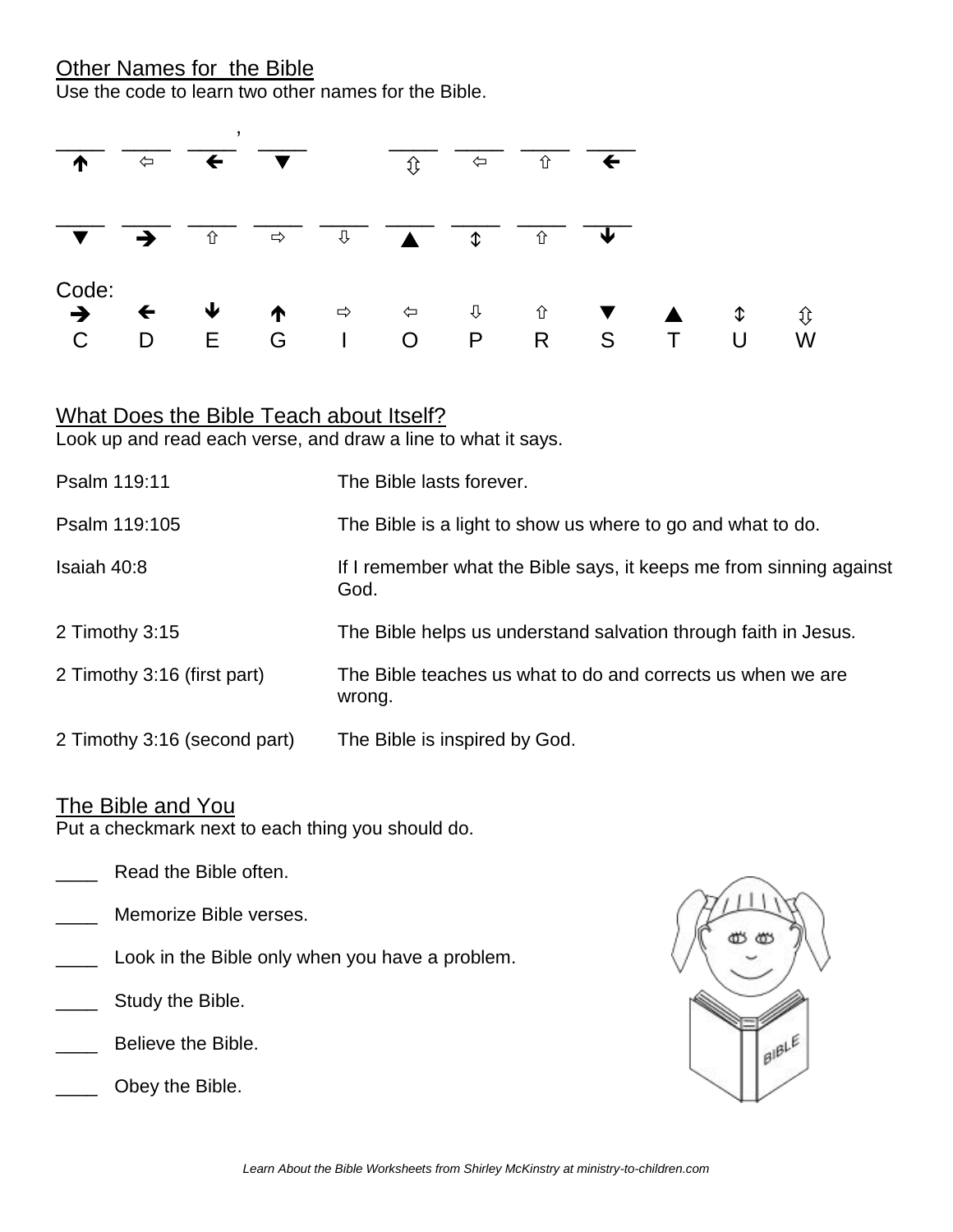## Other Names for the Bible

Use the code to learn two other names for the Bible.



## What Does the Bible Teach about Itself?

Look up and read each verse, and draw a line to what it says.

| Psalm 119:11                 | The Bible lasts forever.                                                    |
|------------------------------|-----------------------------------------------------------------------------|
| Psalm 119:105                | The Bible is a light to show us where to go and what to do.                 |
| Isaiah 40:8                  | If I remember what the Bible says, it keeps me from sinning against<br>God. |
| 2 Timothy 3:15               | The Bible helps us understand salvation through faith in Jesus.             |
| 2 Timothy 3:16 (first part)  | The Bible teaches us what to do and corrects us when we are<br>wrong.       |
| 2 Timothy 3:16 (second part) | The Bible is inspired by God.                                               |

## The Bible and You

Put a checkmark next to each thing you should do.

- Read the Bible often.
- Memorize Bible verses.
- Look in the Bible only when you have a problem.
- **\_\_\_\_** Study the Bible.
- Believe the Bible.
- Obey the Bible.

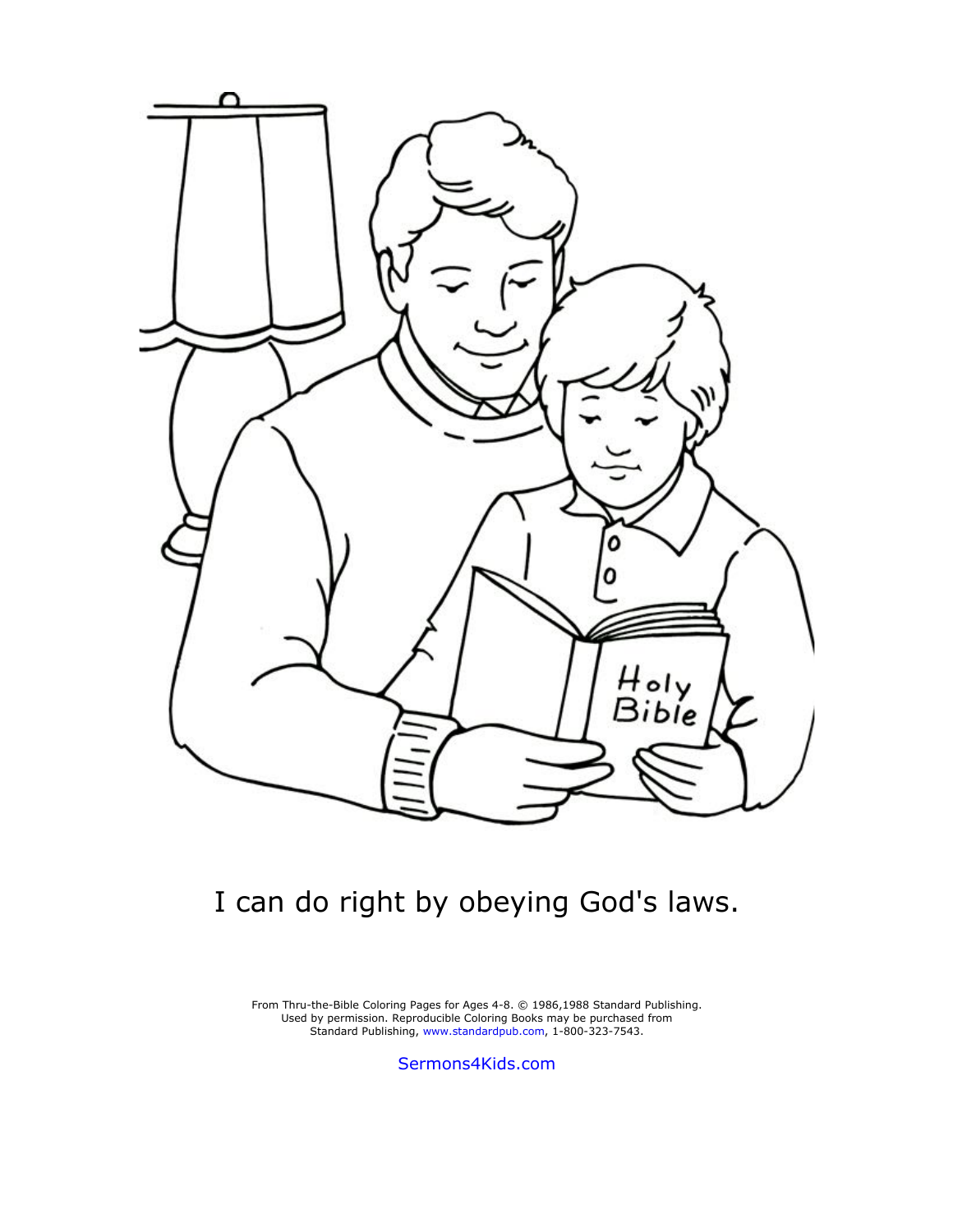

## I can do right by obeying God's laws.

From Thru-the-Bible Coloring Pages for Ages  $4-8.$   $\odot$  1986,1988 Standard Publishing. Used by permission. Reproducible Coloring Books may be purchased from Standard Publishing, [www.standardpub.com](http://www.standardpub.com/), 1-800-323-7543.

[Sermons4Kids.com](http://www.sermons4kids.com/)